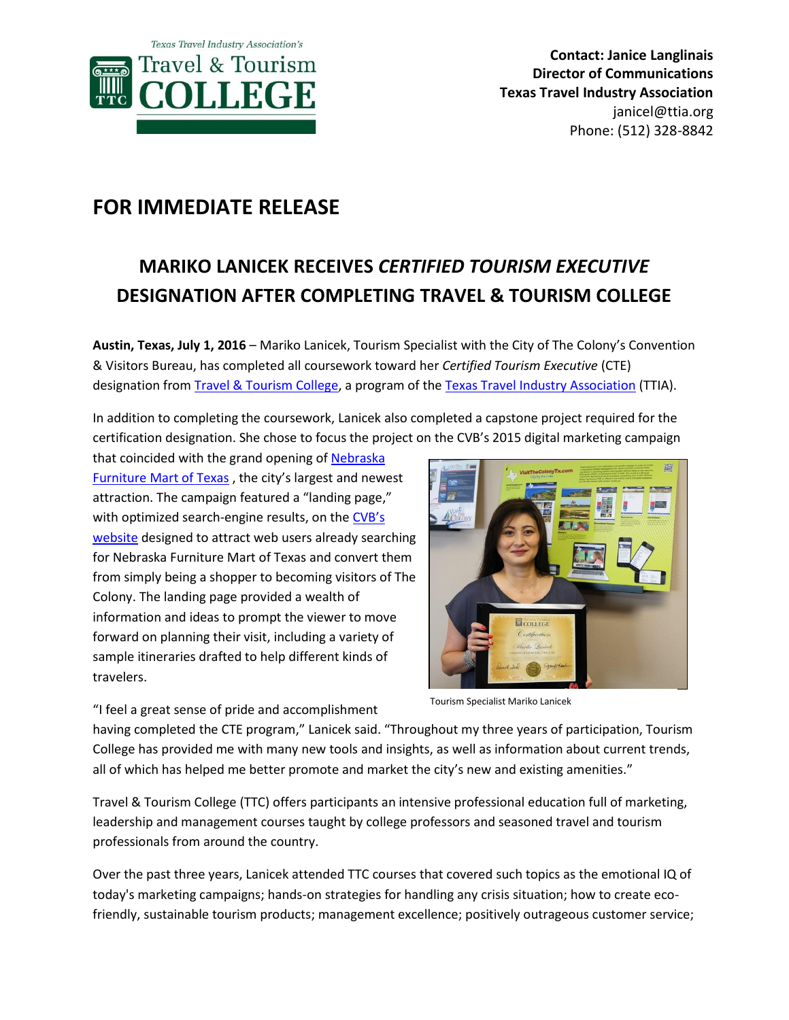

## **FOR IMMEDIATE RELEASE**

## **MARIKO LANICEK RECEIVES** *CERTIFIED TOURISM EXECUTIVE* **DESIGNATION AFTER COMPLETING TRAVEL & TOURISM COLLEGE**

**Austin, Texas, July 1, 2016** – Mariko Lanicek, Tourism Specialist with the City of The Colony's Convention & Visitors Bureau, has completed all coursework toward her *Certified Tourism Executive* (CTE) designation from [Travel & Tourism College,](http://www.ttia.org/events/event_details.asp?legacy=1&id=673937) a program of th[e Texas Travel Industry Association](http://www.ttia.org/) (TTIA).

In addition to completing the coursework, Lanicek also completed a capstone project required for the certification designation. She chose to focus the project on the CVB's 2015 digital marketing campaign

that coincided with the grand opening of [Nebraska](https://www.nfm.com/list.aspx?dsNav=N:0,Ntk:primary|Texas%20Store|1|,Ro:0)  [Furniture Mart](https://www.nfm.com/list.aspx?dsNav=N:0,Ntk:primary|Texas%20Store|1|,Ro:0) of Texas , the city's largest and newest attraction. The campaign featured a "landing page," with optimized search-engine results, on the CVB's [website](http://visitthecolonytx.com/) designed to attract web users already searching for Nebraska Furniture Mart of Texas and convert them from simply being a shopper to becoming visitors of The Colony. The landing page provided a wealth of information and ideas to prompt the viewer to move forward on planning their visit, including a variety of sample itineraries drafted to help different kinds of travelers.

灦 **ECOLLEGE** 

"I feel a great sense of pride and accomplishment

Tourism Specialist Mariko Lanicek

having completed the CTE program," Lanicek said. "Throughout my three years of participation, Tourism College has provided me with many new tools and insights, as well as information about current trends, all of which has helped me better promote and market the city's new and existing amenities."

Travel & Tourism College (TTC) offers participants an intensive professional education full of marketing, leadership and management courses taught by college professors and seasoned travel and tourism professionals from around the country.

Over the past three years, Lanicek attended TTC courses that covered such topics as the emotional IQ of today's marketing campaigns; hands-on strategies for handling any crisis situation; how to create ecofriendly, sustainable tourism products; management excellence; positively outrageous customer service;